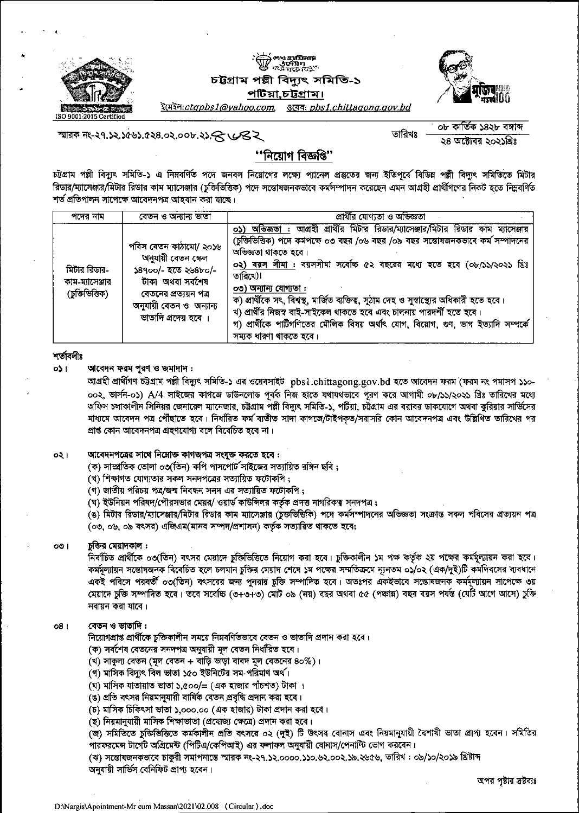

# লা<u>ম হা</u>য়িলার<br>উদ্যোগ<br>ফল গড়ে বিশ্ব<sup>া</sup> চট্টগ্রাম পল্লী বিদ্যুৎ সমিতি-১ পটিয়া,চট্টগ্রাম।



<u>ইমেইল:ctapbs1@yahoo.com,</u> <u> उत्पदः pbs1.chittagong.gov.bd</u>

স্মারক নং-২৭.১২.১৫৬১.৫২৪.০২.০০৮.২১ $\bm{\mathcal{R}}$   $\bm{\mathcal{C}}$ ২

০৮ কাৰ্তিক ১৪২৮ বঙ্গান্দ তারিখঃ ২৪ অক্টোবর ২০২১খ্রিঃ

## ''নিয়োগ বিজ্ঞপ্তি''

চট্টগ্রাম পল্লী বিদ্যুৎ সমিতি-১ এ নিম্নবর্ণিত পদে জনবল নিয়োগের লক্ষ্যে প্যানেল প্রস্তুতের জন্য ইতিপূর্বে বিভিন্ন পল্লী বিদ্যুৎ সমিতিতে মিটার রিডার/ম্যাসেঞ্জার/মিটার রিডার কাম ম্যাসেঞ্জার (চুক্তিভিত্তিক) পদে সম্ভোষজনকভাবে কর্মসম্পাদন করেছেন এমন আগ্রহী প্রার্থীগণের নিকট হতে নিম্নবর্ণিত শর্ত প্রতিপালন সাপেক্ষে আবেদনপত্র আহবান করা যাচ্ছে।

| পদের নাম                                        | বেতন ও অন্যান্য ভাতা                                                                                                                                                 | প্রার্থীর যোগ্যতা ও অভিজ্ঞতা                                                                                                                                                                                                                                                                                                                                                                                                                                                                                                                                                                                        |
|-------------------------------------------------|----------------------------------------------------------------------------------------------------------------------------------------------------------------------|---------------------------------------------------------------------------------------------------------------------------------------------------------------------------------------------------------------------------------------------------------------------------------------------------------------------------------------------------------------------------------------------------------------------------------------------------------------------------------------------------------------------------------------------------------------------------------------------------------------------|
| মিটার রিডার-<br>কাম-ম্যাসেঞ্জার<br>(চজিভিত্তিক) | পবিস বেতন কাঠামো/ ২০১৬<br>অনুযায়ী বেতন কেল<br>১৪৭০০/- হতে ২৬৪৮০/-<br>টাকা অথবা সৰ্বশেষ<br>বেতনের প্রত্যয়ন পত্র<br>অনুযায়ী বেতন ও অন্যান্য<br>ভাতাদি প্রদেয় হবে । | আগ্রহী প্রার্থীর মিটার রিডার/ম্যাসেঞ্জার/মিটার রিডার কাম ম্যাসেঞ্জার<br>অভিজ্ঞতা :<br>০১)<br>(চুক্তিভিত্তিক) পদে কর্মপক্ষে ০৩ বছর /০৬ বছর /০৯ বছর সন্তোষজনকভাবে কর্ম সম্পাদনের<br>অভিজ্ঞতা থাকতে হবে।<br>০২) বয়স সীমা : বয়সসীমা সর্বোচ্চ ৫২ বছরের মধ্যে হতে হবে (০৮/১১/২০২১ খ্রিঃ<br>তাবিখে)।<br>০৩) অন্যান্য যোগ্যতা :<br>ক) প্রার্থীকে সৎ, বিশ্বস্থ, মার্জিত ব্যক্তিত্ব, সুঠাম দেহ ও সুস্বাস্থ্যের অধিকারী হতে হবে।<br>খ) প্রার্থীর নিজস্ব বাই-সাইকেল থাকতে হবে এবং চালনায় পারদর্শী হতে হবে।<br>গ) প্রার্থীকে পার্টিগণিতের মৌলিক বিষয় অর্থাৎ যোগ, বিয়োগ, গুণ, ভাগ ইত্যাদি সম্পর্কে<br>সম্যক ধারণা থাকতে হবে। |

## শৰ্তাবলীঃ

আবেদন ফরম পুরণ ও জমাদান : o\$ ⊧

> আগ্রহী প্রার্থীগণ চট্টগ্রাম পল্লী বিদ্যুৎ সমিতি-১ এর ওয়েবসাইট pbsl.chittagong.gov.bd হতে আবেদন ফরম (ফরম নং পমাসপ ১১০-০০২, ভার্সন-০১) A/4 সাইজের কাগজে ডাউনলোড পূর্বক নিজ হাতে যথাযথভাবে পূরণ করে আগামী ০৮/১১/২০২১ খ্রিঃ তারিখের মধ্যে অফিস চলাকালীন সিনিয়র জেনারেল ম্যানেজার, চট্টগ্রাম পল্লী বিদ্যুৎ সমিতি-১, পটিয়া, চট্টগ্রাম এর বরাবর ডাকযোগে অথবা কুরিয়ার সার্ভিসের মাধ্যমে আবেদন পত্র পৌঁছাতে হবে। নির্ধারিত ফর্ম ব্যতীত সাদা কাগজে/টাইপকৃত/সরাসরি কোন আবেদনপত্র এবং উল্লিখিত তারিখের পর প্ৰাপ্ত কোন আবেদনপত্ৰ গ্ৰহণযোগ্য বলে বিবেচিত হবে না।

#### আবেদনপত্রের সাথে নিম্নোক্ত কাগজপত্র সংযুক্ত করতে হবে : ০২।

(ক) সাম্প্রতিক তোলা ০৩(তিন) কপি পাসপোর্ট সাইজের সত্যায়িত রঙ্গিন ছবি ;

(খ) শিক্ষাগত যোগ্যতার সকল সনদপত্রের সত্যায়িত ফটোকপি ;

(গ) জাতীয় পরিচয় পত্র/জন্ম নিবন্ধন সনদ এর সত্যায়িত ফটোকপি;

(ঘ) ইউনিয়ন পরিষদ/পৌরসভার মেয়র/ ওয়ার্ড কাউন্সিলর কর্তৃক প্রদত্ত নাগরিকত্ব সনদপত্র;

(ঙ) মিটার রিডার/ম্যাসেঞ্জার/মিটার রিডার কাম ম্যাসেঞ্জার (চুক্তভিত্তিকি) পদে কর্মসম্পাদনের অভিজ্ঞতা সংক্রান্ত সকল পবিসের প্রত্যয়ন পত্র (০৩, ০৬, ০৯ বৎসর) এজিএম(মানব সম্পদ/প্রশাসন) কর্তৃক সত্যায়িত থাকতে হবে;

#### চুক্তির মেয়াদকাল :  $001$

নির্বাচিত প্রার্থীকে ০৩(তিন) বৎসর মেয়াদে চুক্তিভিত্তিতে নিয়োগ করা হবে। চুক্তিকালীন ১ম পক্ষ কর্তৃক ২য় পক্ষের কর্মমূল্যায়ন করা হবে। কর্মমূল্যায়ন সম্ভোষজনক বিবেচিত হলে চলমান চুক্তির মেয়াদ শেষে ১ম পক্ষের সম্মতিক্রমে ন্যূনতম ০১/০২ (এক/দুই)টি কমদিবসের ব্যবধানে একই পবিসে পরবর্তী ০৩(তিন) বৎসরের জন্য পুনরায় চুক্তি সম্পাদিত হবে। অতঃপর একইভাবে সম্ভোষজনক কর্মমূল্যায়ন সাপেক্ষে ৩য় মেয়াদে চুক্তি সম্পাদিত হবে। তবে সর্বোচ্চ (৩+৩+৩) মোট ০৯ (নয়) বছর অথবা ৫৫ (পঞ্চান্ন) বছর বয়স পর্যন্ত (যেটি আগে আসে) চুক্তি নবায়ন করা যাবে।

#### বেতন ও ভাতাদি : o8 I

নিয়োগপ্রাপ্ত প্রার্থীকে চুক্তিকালীন সময়ে নিম্নবর্ণিতভাবে বেতন ও ভাতাদি প্রদান করা হবে।

- (ক) সর্বশেষ বেতনের সনদপত্র অনুযায়ী মূল বেতন নির্ধারিত হবে।
- (খ) সাকুল্য বেতন (মূল বেতন + বাড়ি ভাড়া বাবদ মূল বেতনের ৪০%)।
- (গ) মাসিক বিদ্যুৎ বিল ভাতা ১৫০ ইউনিটের সম-পরিমাণ অর্থ।
- (ঘ) মাসিক যাতায়াত ভাতা ১,৫০০/= (এক হাজার পাঁচশত) টাকা ।
- (ঙ) প্রতি বৎসর নিয়মানুযায়ী বার্ষিক বেতন প্রবৃদ্ধি প্রদান করা হবে।
- (চ) মাসিক চিকিৎসা ভাতা ১,০০০.০০ (এক হাজার) টাকা প্রদান করা হবে।
- (ছ) নিয়মানুযায়ী মাসিক শিক্ষাভাতা (প্রযোজ্য ক্ষেত্রে) প্রদান করা হবে।

(জ) সমিতিতে চুক্তিভিত্তিতে কর্মকালীন প্রতি বৎসরে ০২ (দুই) টি উৎসব বোনাস এবং নিয়মানুযায়ী বৈশাখী ভাতা প্রাপ্য হবেন। সমিতির পারফরমেন্স টার্গের্ট অগ্রিমেন্ট (পিটিএ/কেপিআই) এর ফলাফল অনুযায়ী বোনাস/পেনান্টি ভোগ করবেন।

(ঝ) সম্ভোষজনকভাবে চাকুরী সমাপনান্তে স্মারক নং-২৭.১২.০০০০.১১০.৬২.০০২.১৯.২৬৫৬, তারিখ : ০৯/১০/২০১৯ গ্রিষ্টাব্দ অনুযায়ী সার্ভিস বেনিফিট প্রাপ্য হবেন।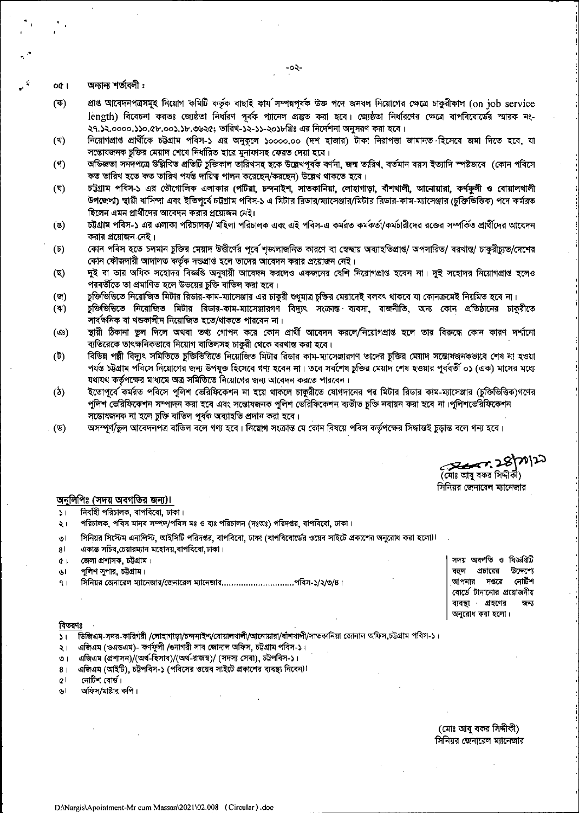অন্যান্য শর্তাবলী: **OCT** 

- প্রাপ্ত আবেদনপত্রসমূহ নিয়োগ কমিটি কর্তৃক বাছাই কার্য সম্পন্নপূর্বক উক্ত পদে জনবল নিয়োগের ক্ষেত্রে চাকুরীকাল (on job service  $(\overline{\Phi})$ length) বিবেচনা করতঃ জ্যেষ্ঠতা নির্ধারণ পূর্বক প্যানেল প্রস্তুত করা হবে। জ্যেষ্ঠতা নির্ধারণের ক্ষেত্রে বাপবিবোর্ডের স্মারক নং-২৭.১২.০০০০.১১০.৫৮.০০১.১৮.৩৬২৫; তারিখ-১২-১১-২০১৮থ্রিঃ এর নির্দেশনা অনুসরণ করা হবে।
- নিয়োগপ্রাপ্ত প্রার্থীকে চট্টগ্রাম পবিস-১ এর অনুকূলে ১০০০০.০০ (দশ হাজার) টাকা নিরাপত্তা জামানত হিসেবে জমা দিতে হবে, যা (খ) সম্ভোষজনক চুক্তির মেয়াদ শেষে নির্ধারিত হারে মুনাফাসহ ফেরত দেয়া হবে।
- অভিজ্ঞতা সনদপত্রে উল্লিখিত প্রতিটি চুক্তিকাল তারিখসহ ছকে উল্লেখপূর্বক বর্ণনা, জন্ম তারিখ, বর্তমান বয়স ইত্যাদি স্পষ্টভাবে (কোন পবিসে  $(9)$ কত তারিখ হতে কত তারিখ পর্যন্ত দায়িত্ব পালন করেছেন/করছেন) উল্লেখ থাকতে হবে।
- চট্টগ্রাম পবিস-১ এর ভৌগোলিক এলাকার (পটিয়া, চন্দনাইশ, সাতকানিয়া, লোহাগাড়া, বীশখালী, আনোয়ারা, কর্ণফুলী ও বোয়ালখালী  $(\nabla)$ উপজেলা) স্থায়ী বাসিন্দা এবং ইতিপূর্বে চটগ্রাম পবিস-১ এ মিটার রিডার/ম্যাসেঞ্জার/মিটার রিডার-কাম-ম্যাসেঞ্জার (চুক্তিভিত্তিক) পদে কর্মরত ছিলেন এমন প্রার্থীদের আবেদন করার প্রয়োজন নেই।
- $($ চট্টগ্রাম পবিস-১ এর এলাকা পরিচালক/ মহিলা পরিচালক এবং এই পবিস-এ কর্মরত কর্মকর্তা/কর্মচারীদের রজের সম্পর্কিত প্রার্থীদের আবেদন করার প্রয়োজন নেই।
- কোন পবিস হতে চলমান চুক্তির মেয়াদ উত্তীর্ণের পূর্বে শৃঙ্খলাজনিত কারণে বা স্বেচ্ছায় অব্যাহতিপ্রাপ্ত/ অপসারিত/ বরখান্ত/ চাকুরীচ্যুত/দেশের  $(\mathfrak{v})$ কোন ফৌজদারী আদালত কর্তৃক দন্ডপ্রাপ্ত হলে তাদের আবেদন করার প্রয়োজন নেই।
- দুই বা তার অধিক সহোদর বিজ্ঞপ্তি অনুযায়ী আবেদন করলেও একজনের বেশি নিয়োগপ্রাপ্ত হবেন না। দুই সহোদর নিয়োগপ্রাপ্ত হলেও  $(\nabla)$ পরবর্তীতে তা প্রমাণিত হলে উভয়ের চুক্তি বাতিল করা হবে।
- চুক্তিভিত্তিতে নিয়োজিত মিটার রিডার-কাম-ম্যাসেঞ্জার এর চাকুরী শুধুমাত্র চুক্তির মেয়াদেই বলবৎ থাকবে যা কোনক্রমেই নিয়মিত হবে না।  $(\nabla)$
- চুক্তিভিত্তিতে নিয়োজিত মিটার রিডার-কাম-ম্যাসেঞ্জারগণ বিদ্যুৎ সংক্রান্ত ব্যবসা, রাজনীতি, অন্য কোন প্রতিষ্ঠানের চাকুরীতে  $(4)$ সার্বক্ষনিক বা খন্ডকালীন নিয়োজিত হতে/থাকতে পারবেন না।
- স্থায়ী ঠিকানা ভুল দিলে অথবা তথ্য গোপন করে কোন প্রার্থী আবেদন করলে/নিয়োগপ্রাপ্ত হলে তার বিরুদ্ধে কোন কারণ দর্শানো (ආ) ব্যতিরেকে তাৎক্ষনিকভাবে নিয়োগ বাতিলসহ চাকুরী থেকে বরখাস্ত করা হবে।
- $(\vec{v})$ বিভিন্ন পল্লী বিদ্যুৎ সমিতিতে চুক্তিভিত্তিতে নিয়োজিত মিটার রিডার কাম-ম্যাসেঞ্জারগণ তাদের চুক্তির মেয়াদ সন্তোষজনকভাবে শেষ না হওয়া পর্যন্ত চট্টগ্রাম পবিসে নিয়োগের জন্য উপযুক্ত হিসেবে গণ্য হবেন না। তবে সর্বশেষ চুক্তির মেয়াদ শেষ হওয়ার পূর্ববর্তী ০১ (এক) মাসের মধ্যে যথাযথ কর্তৃপক্ষের মাধ্যমে অত্র সমিতিতে নিয়োগের জন্য আবেদন করতে পারবেন।
- ইতোপূর্বে কর্মরত পবিসে পুলিশ ভেরিফিকেশন না হয়ে থাকলে চাকুরীতে যোগদানের পর মিটার রিডার কাম-ম্যাসেঞ্জার (চুক্তিত্তিক)গণের  $(\delta)$ পুলিশ ভেরিফিকেশন সম্পাদন করা হবে এবং সন্তোষজনক পুলিশ ভেরিফিকেশন ব্যতীত চুক্তি নবায়ন করা হবে না।পুলিশভেরিফিকেশন সম্ভোষজনক না হলে চুক্তি বাতিল পূৰ্বক অব্যাহতি প্ৰদান করা হবে।
- অসম্পূর্ণ/ভুল আবেদনপত্র বাতিল বলে গণ্য হবে। নিয়োগ সংক্রান্ত যে কোন বিষয়ে পবিস কর্তৃপক্ষের সিদ্ধান্তই চুড়ান্ত বলে গন্য হবে। (ড)

2007.28/70/20 (মোঃ আবু বকর সিদ্দীকী) সিনিয়র জেনারেল ম্যানেজার

## অনুলিপিঃ (সদয় অবগতির জন্য)।

- নির্বাহী পরিচালক, বাপবিবো, ঢাকা।  $\mathcal{L}$
- পরিচালক, পবিস মানব সম্পদ/পবিস মঃ ও ব্যঃ পরিচালন (দঃঅঃ) পরিদণ্ডর, বাপবিবো, ঢাকা।  $\geq 1$
- সিনিয়র সিস্টেম এনালিস্ট, আইসিটি পরিদণ্ডর, বাপবিবো, ঢাকা (বাপবিবোর্ডের ওয়েব সাইটে প্রকাশের অনুরোধ করা হলো)। তা
- একান্ত সচিব, চেয়ারম্যান মহোদয়, বাপবিবো, ঢাকা। 8 I
- জেলা প্রশাসক, চট্টগ্রাম।  $Q$
- পুলিশ সুপার, চট্টগ্রাম। ای
- সিনিয়র জেনারেল ম্যানেজার/জেনারেল ম্যানেজার..............................পবিস-১/২/৩/৪।  $91$

সদয় অবগতি ও বিজ্ঞপ্তিটি বতল প্রচারের উদ্দেশ্যে নোটশ আপনার দপ্তরে বোর্ডে টানানোর প্রয়োজনীয় ব্যবস্থা গ্রহণের অনুরোধ করা হলো।

### বিতরণঃ

ডিজিএম-সদর-কারিগরী /লোহাগাড়া/চন্দনাইশ/বোয়ালখালী/আনোয়ারা/বাঁশখালী/সাতকানিয়া জোনাল অফিস,চট্টগ্রাম পবিস-১।  $\sum_{i=1}^{n}$ 

- এজিএম (ওএন্ডএম)- কর্ণফুলী /ওনাগরী সাব জোনাল অফিস, চট্টগ্রাম পবিস-১।  $\geq 1$
- এজিএম (প্রশাসন)/(অর্থ-হিসাব)/(অর্থ-রাজস্ব)/ (সদস্য সেবা), চট্টপবিস-১।  $\circ$  |
- এজিএম (আইটি), চট্টপবিস-১ (পবিসের ওয়েব সাইটে প্রকাশের ব্যবস্থা নিবেন)!  $8<sub>1</sub>$
- $Q$ নোটিশ বোর্ড।
- অফিস/মাষ্টার কপি। ارہ

(মোঃ আবু বকর সিদ্দীকী) সিনিয়র জেনারেল ম্যানেজার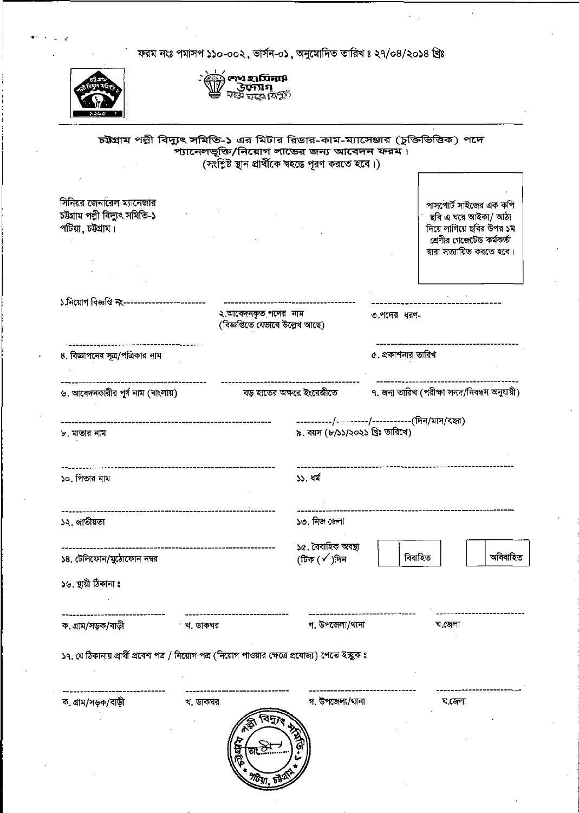ফরম নংঃ পমাসপ ১১০-০০২, ভার্সন-০১, অনুমোদিত তারিখ ঃ ২৭/০৪/২০১৪ খ্রিঃ



- তেওঁ লাখ হায়িনা\$<br>তেওঁ উদ্যোগ<br>তেওঁ লক্ষ্য বিক্ৰী

|                                                                                                     |                           | প্যানেলভূক্তি/নিয়োগ লান্ডের জন্য আবেদন ফরম।<br>(সংশ্লিষ্ট ছান প্রার্থীকে শ্বহস্তে পূরণ করতে হবে।) |                    |                                                                                                                                       |
|-----------------------------------------------------------------------------------------------------|---------------------------|----------------------------------------------------------------------------------------------------|--------------------|---------------------------------------------------------------------------------------------------------------------------------------|
| সিনিয়র জেনারেল ম্যানেজার<br>চউগ্ৰাম পল্নী বিদ্যুৎ সমিতি-১<br>পটিয়া , চউগ্রাম।                     |                           |                                                                                                    |                    | পাসপোর্ট সাইজের এক কপি<br>ছবি এ ঘরে আইকা/ আঠা<br>দিয়ে লাগিয়ে ছবির উপর ১ম<br>শ্রেণীর গেজেটেড কর্মকর্তা<br>দ্বারা সত্যায়িত করতে হবে। |
| ১.নিয়োগ বিজ্ঞপ্তি নং-------                                                                        |                           |                                                                                                    |                    |                                                                                                                                       |
| ২.আবেদনকৃত পদের নাম<br>(বিজ্ঞপ্তিতে যেভাবে উল্লেখ আছে)                                              |                           | ৩.পদের ধরণ-                                                                                        |                    |                                                                                                                                       |
| ৪. বিজ্ঞাপনের সূত্র/পত্রিকার নাম                                                                    |                           |                                                                                                    | ৫. প্রকাশনার তারিখ |                                                                                                                                       |
| ৬. আবেদনকারীর পূর্ণ নাম (বাংলায়)                                                                   | বড় হাতের অক্ষরে ইংরেজীতে |                                                                                                    |                    | ৭. জন্ম তারিখ (পরীক্ষা সনদ/নিবন্ধন অনুযায়ী)                                                                                          |
| ৮. মাতার নাম                                                                                        |                           | ----------/---------/-----------(দিন/মাস/বছর)<br>৯. বয়স (৮/১১/২০২১ খ্রিঃ তারিখে)                  |                    |                                                                                                                                       |
| ১০. পিতার নাম                                                                                       |                           | ১১. ধর্ম                                                                                           |                    |                                                                                                                                       |
| ১২. জাতীয়তা                                                                                        |                           | ১৩. নিজ জেলা                                                                                       |                    |                                                                                                                                       |
| ১৪. টেলিফোন/মুঠোফোন নম্বর                                                                           |                           | ১৫. বৈবাহিক অবন্থা<br>(টিক (√)দিন                                                                  | বিবাহিত            | অবিবাহিত                                                                                                                              |
| ১৬. ছায়ী ঠিকানা ঃ                                                                                  |                           |                                                                                                    |                    |                                                                                                                                       |
| ক গ্ৰাম/সড়ক/বাড়ী                                                                                  | খ. ডাকঘর                  | গ. উপজেলা/থানা                                                                                     |                    | ঘ.জেলা                                                                                                                                |
| ১৭. যে ঠিকানায় প্রার্থী প্রবেশ পত্র / নিয়োগ পত্র (নিয়োগ পাওয়ার ক্ষেত্রে প্রযোজ্য) পেতে ইচ্ছুক ঃ |                           |                                                                                                    |                    |                                                                                                                                       |
| ক. গ্ৰাম/সড়ক/বাড়ী                                                                                 | থ. ডাকঘর                  | গ. উপজেলা/থানা                                                                                     |                    | য.জেলা                                                                                                                                |
|                                                                                                     |                           |                                                                                                    |                    |                                                                                                                                       |